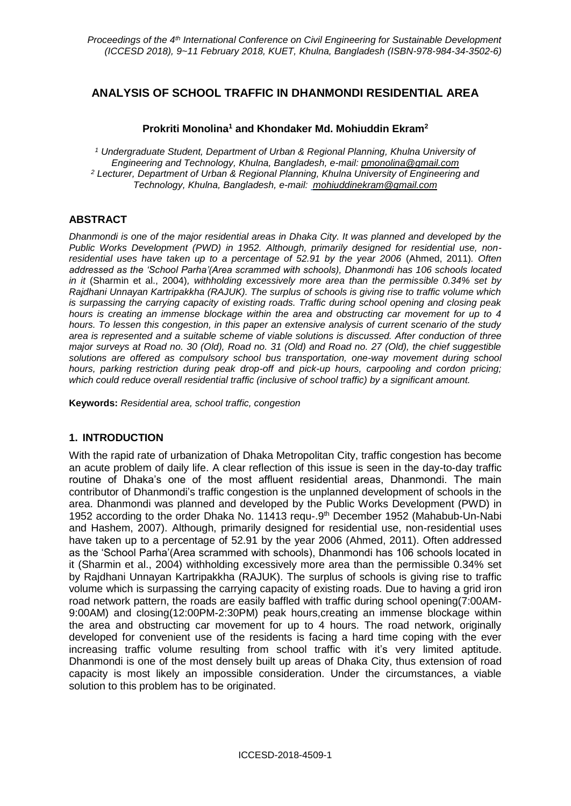# **ANALYSIS OF SCHOOL TRAFFIC IN DHANMONDI RESIDENTIAL AREA**

### **Prokriti Monolina<sup>1</sup> and Khondaker Md. Mohiuddin Ekram<sup>2</sup>**

*<sup>1</sup> Undergraduate Student, Department of Urban & Regional Planning, Khulna University of Engineering and Technology, Khulna, Bangladesh, e-mail: pmonolina@gmail.com <sup>2</sup> Lecturer, Department of Urban & Regional Planning, Khulna University of Engineering and Technology, Khulna, Bangladesh, e-mail: [mohiuddinekram@gmail.com](mailto:%20mohiuddinekram@gmail.com)*

## **ABSTRACT**

*Dhanmondi is one of the major residential areas in Dhaka City. It was planned and developed by the Public Works Development (PWD) in 1952. Although, primarily designed for residential use, nonresidential uses have taken up to a percentage of 52.91 by the year 2006* (Ahmed, 2011)*. Often addressed as the 'School Parha'(Area scrammed with schools), Dhanmondi has 106 schools located in it* (Sharmin et al., 2004)*, withholding excessively more area than the permissible 0.34% set by Rajdhani Unnayan Kartripakkha (RAJUK). The surplus of schools is giving rise to traffic volume which is surpassing the carrying capacity of existing roads. Traffic during school opening and closing peak hours is creating an immense blockage within the area and obstructing car movement for up to 4 hours. To lessen this congestion, in this paper an extensive analysis of current scenario of the study area is represented and a suitable scheme of viable solutions is discussed. After conduction of three major surveys at Road no. 30 (Old), Road no. 31 (Old) and Road no. 27 (Old), the chief suggestible solutions are offered as compulsory school bus transportation, one-way movement during school hours, parking restriction during peak drop-off and pick-up hours, carpooling and cordon pricing; which could reduce overall residential traffic (inclusive of school traffic) by a significant amount.*

**Keywords:** *Residential area, school traffic, congestion*

### **1. INTRODUCTION**

With the rapid rate of urbanization of Dhaka Metropolitan City, traffic congestion has become an acute problem of daily life. A clear reflection of this issue is seen in the day-to-day traffic routine of Dhaka's one of the most affluent residential areas, Dhanmondi. The main contributor of Dhanmondi's traffic congestion is the unplanned development of schools in the area. Dhanmondi was planned and developed by the Public Works Development (PWD) in 1952 according to the order Dhaka No. 11413 requ-.9<sup>th</sup> December 1952 (Mahabub-Un-Nabi and Hashem, 2007). Although, primarily designed for residential use, non-residential uses have taken up to a percentage of 52.91 by the year 2006 (Ahmed, 2011). Often addressed as the 'School Parha'(Area scrammed with schools), Dhanmondi has 106 schools located in it (Sharmin et al., 2004) withholding excessively more area than the permissible 0.34% set by Rajdhani Unnayan Kartripakkha (RAJUK). The surplus of schools is giving rise to traffic volume which is surpassing the carrying capacity of existing roads. Due to having a grid iron road network pattern, the roads are easily baffled with traffic during school opening(7:00AM-9:00AM) and closing(12:00PM-2:30PM) peak hours,creating an immense blockage within the area and obstructing car movement for up to 4 hours. The road network, originally developed for convenient use of the residents is facing a hard time coping with the ever increasing traffic volume resulting from school traffic with it's very limited aptitude. Dhanmondi is one of the most densely built up areas of Dhaka City, thus extension of road capacity is most likely an impossible consideration. Under the circumstances, a viable solution to this problem has to be originated.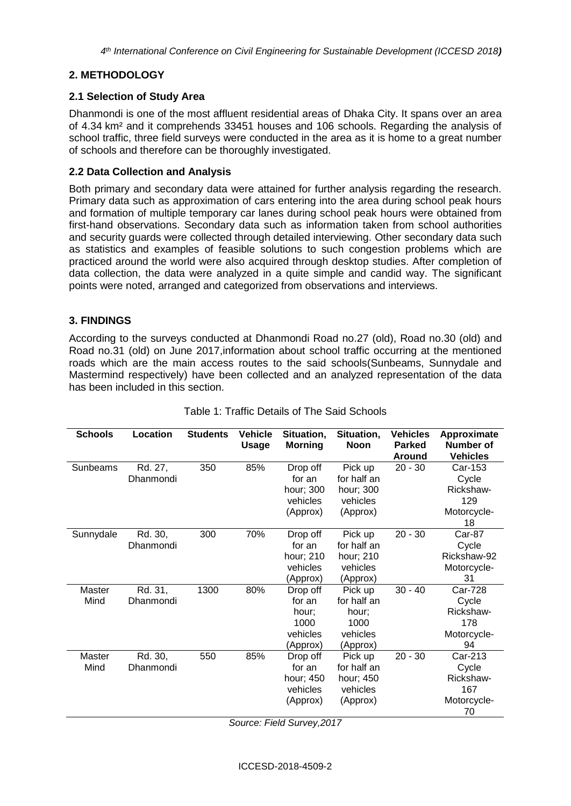## **2. METHODOLOGY**

### **2.1 Selection of Study Area**

Dhanmondi is one of the most affluent residential areas of Dhaka City. It spans over an area of 4.34 km² and it comprehends 33451 houses and 106 schools. Regarding the analysis of school traffic, three field surveys were conducted in the area as it is home to a great number of schools and therefore can be thoroughly investigated.

### **2.2 Data Collection and Analysis**

Both primary and secondary data were attained for further analysis regarding the research. Primary data such as approximation of cars entering into the area during school peak hours and formation of multiple temporary car lanes during school peak hours were obtained from first-hand observations. Secondary data such as information taken from school authorities and security guards were collected through detailed interviewing. Other secondary data such as statistics and examples of feasible solutions to such congestion problems which are practiced around the world were also acquired through desktop studies. After completion of data collection, the data were analyzed in a quite simple and candid way. The significant points were noted, arranged and categorized from observations and interviews.

### **3. FINDINGS**

According to the surveys conducted at Dhanmondi Road no.27 (old), Road no.30 (old) and Road no.31 (old) on June 2017,information about school traffic occurring at the mentioned roads which are the main access routes to the said schools(Sunbeams, Sunnydale and Mastermind respectively) have been collected and an analyzed representation of the data has been included in this section.

| <b>Schools</b> | Location  | <b>Students</b> | <b>Vehicle</b><br><b>Usage</b> | Situation,<br><b>Morning</b> | Situation,<br><b>Noon</b> | <b>Vehicles</b><br><b>Parked</b><br><b>Around</b> | Approximate<br>Number of<br><b>Vehicles</b> |
|----------------|-----------|-----------------|--------------------------------|------------------------------|---------------------------|---------------------------------------------------|---------------------------------------------|
| Sunbeams       | Rd. 27,   | 350             | 85%                            | Drop off                     | Pick up                   | $20 - 30$                                         | Car-153                                     |
|                | Dhanmondi |                 |                                | for an                       | for half an               |                                                   | Cycle                                       |
|                |           |                 |                                | hour; 300                    | hour; 300                 |                                                   | Rickshaw-                                   |
|                |           |                 |                                | vehicles                     | vehicles                  |                                                   | 129                                         |
|                |           |                 |                                | (Approx)                     | (Approx)                  |                                                   | Motorcycle-                                 |
|                |           |                 |                                |                              |                           |                                                   | 18                                          |
| Sunnydale      | Rd. 30,   | 300             | 70%                            | Drop off                     | Pick up                   | $20 - 30$                                         | Car-87                                      |
|                | Dhanmondi |                 |                                | for an                       | for half an               |                                                   | Cycle                                       |
|                |           |                 |                                | hour; 210                    | hour; 210                 |                                                   | Rickshaw-92                                 |
|                |           |                 |                                | vehicles                     | vehicles                  |                                                   | Motorcycle-                                 |
|                |           |                 |                                | (Approx)                     | (Approx)                  |                                                   | 31                                          |
| Master         | Rd. 31,   | 1300            | 80%                            | Drop off                     | Pick up                   | $30 - 40$                                         | <b>Car-728</b>                              |
| Mind           | Dhanmondi |                 |                                | for an                       | for half an               |                                                   | Cycle                                       |
|                |           |                 |                                | hour;                        | hour:                     |                                                   | Rickshaw-                                   |
|                |           |                 |                                | 1000                         | 1000                      |                                                   | 178                                         |
|                |           |                 |                                | vehicles                     | vehicles                  |                                                   | Motorcycle-                                 |
|                |           |                 |                                | (Approx)                     | (Approx)                  |                                                   | 94                                          |
| Master         | Rd. 30,   | 550             | 85%                            | Drop off                     | Pick up                   | $20 - 30$                                         | Car-213                                     |
| Mind           | Dhanmondi |                 |                                | for an                       | for half an               |                                                   | Cycle                                       |
|                |           |                 |                                | hour; 450                    | hour; 450                 |                                                   | Rickshaw-                                   |
|                |           |                 |                                | vehicles                     | vehicles                  |                                                   | 167                                         |
|                |           |                 |                                | (Approx)                     | (Approx)                  |                                                   | Motorcycle-                                 |
|                |           |                 |                                |                              |                           |                                                   | 70                                          |

#### Table 1: Traffic Details of The Said Schools

*Source: Field Survey,2017*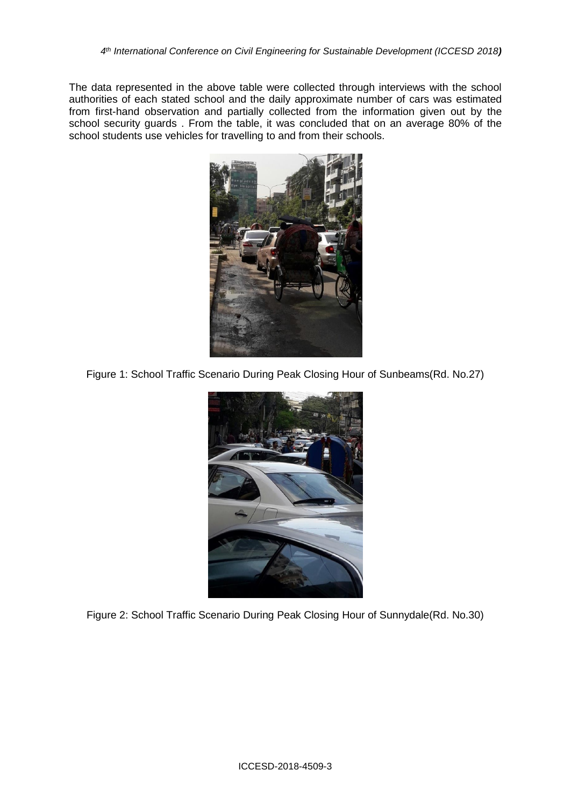The data represented in the above table were collected through interviews with the school authorities of each stated school and the daily approximate number of cars was estimated from first-hand observation and partially collected from the information given out by the school security guards. From the table, it was concluded that on an average 80% of the school students use vehicles for travelling to and from their schools.



Figure 1: School Traffic Scenario During Peak Closing Hour of Sunbeams(Rd. No.27)



Figure 2: School Traffic Scenario During Peak Closing Hour of Sunnydale(Rd. No.30)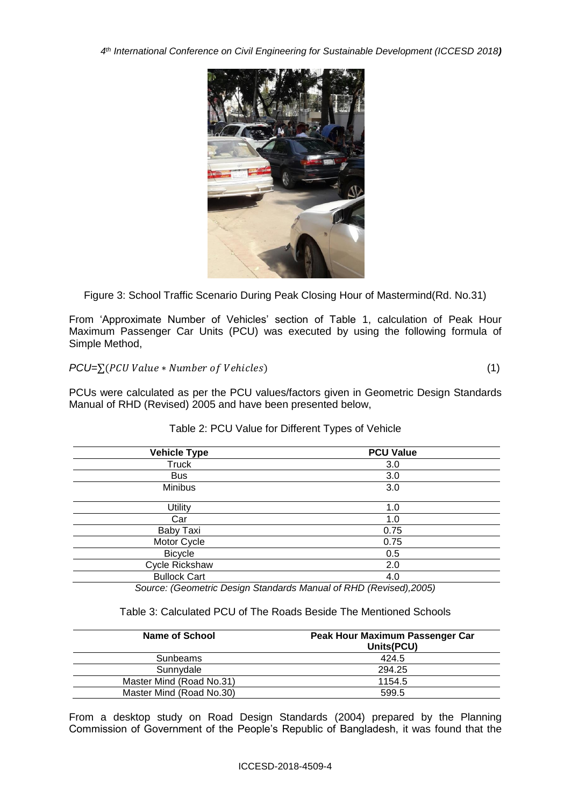*4 th International Conference on Civil Engineering for Sustainable Development (ICCESD 2018)*



Figure 3: School Traffic Scenario During Peak Closing Hour of Mastermind(Rd. No.31)

From 'Approximate Number of Vehicles' section of Table 1, calculation of Peak Hour Maximum Passenger Car Units (PCU) was executed by using the following formula of Simple Method,

 $PCU=\sum (PCU Value * Number of Vehicles)$  (1)

PCUs were calculated as per the PCU values/factors given in Geometric Design Standards Manual of RHD (Revised) 2005 and have been presented below,

| <b>Vehicle Type</b> | <b>PCU Value</b> |  |  |
|---------------------|------------------|--|--|
| Truck               | 3.0              |  |  |
| <b>Bus</b>          | 3.0              |  |  |
| Minibus             | 3.0              |  |  |
| Utility             | 1.0              |  |  |
| Car                 | 1.0              |  |  |
| Baby Taxi           | 0.75             |  |  |
| Motor Cycle         | 0.75             |  |  |
| <b>Bicycle</b>      | 0.5              |  |  |
| Cycle Rickshaw      | 2.0              |  |  |
| <b>Bullock Cart</b> | 4.0              |  |  |

### Table 2: PCU Value for Different Types of Vehicle

*Source: (Geometric Design Standards Manual of RHD (Revised),2005)* 

#### Table 3: Calculated PCU of The Roads Beside The Mentioned Schools

| Name of School           | Peak Hour Maximum Passenger Car<br>Units(PCU) |  |  |
|--------------------------|-----------------------------------------------|--|--|
| Sunbeams                 | 424.5                                         |  |  |
| Sunnydale                | 294.25                                        |  |  |
| Master Mind (Road No.31) | 1154.5                                        |  |  |
| Master Mind (Road No.30) | 599.5                                         |  |  |

From a desktop study on Road Design Standards (2004) prepared by the Planning Commission of Government of the People's Republic of Bangladesh, it was found that the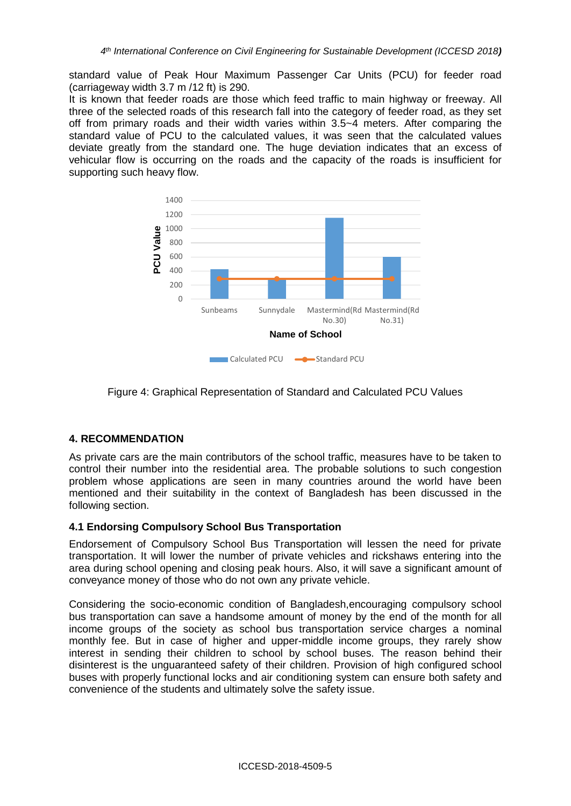standard value of Peak Hour Maximum Passenger Car Units (PCU) for feeder road (carriageway width 3.7 m /12 ft) is 290.

It is known that feeder roads are those which feed traffic to main highway or freeway. All three of the selected roads of this research fall into the category of feeder road, as they set off from primary roads and their width varies within 3.5~4 meters. After comparing the standard value of PCU to the calculated values, it was seen that the calculated values deviate greatly from the standard one. The huge deviation indicates that an excess of vehicular flow is occurring on the roads and the capacity of the roads is insufficient for supporting such heavy flow.



Figure 4: Graphical Representation of Standard and Calculated PCU Values

### **4. RECOMMENDATION**

As private cars are the main contributors of the school traffic, measures have to be taken to control their number into the residential area. The probable solutions to such congestion problem whose applications are seen in many countries around the world have been mentioned and their suitability in the context of Bangladesh has been discussed in the following section.

### **4.1 Endorsing Compulsory School Bus Transportation**

Endorsement of Compulsory School Bus Transportation will lessen the need for private transportation. It will lower the number of private vehicles and rickshaws entering into the area during school opening and closing peak hours. Also, it will save a significant amount of conveyance money of those who do not own any private vehicle.

Considering the socio-economic condition of Bangladesh,encouraging compulsory school bus transportation can save a handsome amount of money by the end of the month for all income groups of the society as school bus transportation service charges a nominal monthly fee. But in case of higher and upper-middle income groups, they rarely show interest in sending their children to school by school buses. The reason behind their disinterest is the unguaranteed safety of their children. Provision of high configured school buses with properly functional locks and air conditioning system can ensure both safety and convenience of the students and ultimately solve the safety issue.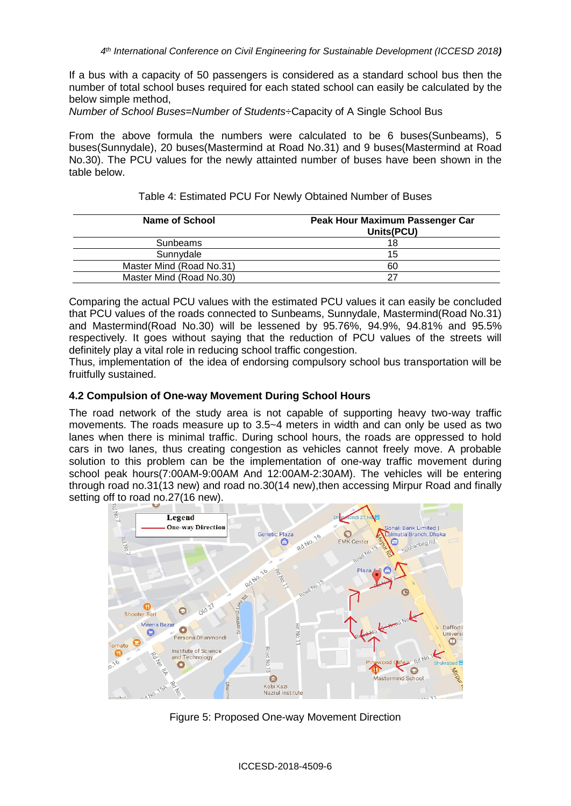If a bus with a capacity of 50 passengers is considered as a standard school bus then the number of total school buses required for each stated school can easily be calculated by the below simple method,

*Number of School Buses=Number of Students÷*Capacity of A Single School Bus

From the above formula the numbers were calculated to be 6 buses(Sunbeams), 5 buses(Sunnydale), 20 buses(Mastermind at Road No.31) and 9 buses(Mastermind at Road No.30). The PCU values for the newly attainted number of buses have been shown in the table below.

| Name of School           | Peak Hour Maximum Passenger Car<br>Units(PCU) |  |  |
|--------------------------|-----------------------------------------------|--|--|
| Sunbeams                 | 18                                            |  |  |
| Sunnydale                | 15                                            |  |  |
| Master Mind (Road No.31) | 60                                            |  |  |
| Master Mind (Road No.30) | 27                                            |  |  |

Table 4: Estimated PCU For Newly Obtained Number of Buses

Comparing the actual PCU values with the estimated PCU values it can easily be concluded that PCU values of the roads connected to Sunbeams, Sunnydale, Mastermind(Road No.31) and Mastermind(Road No.30) will be lessened by 95.76%, 94.9%, 94.81% and 95.5% respectively. It goes without saying that the reduction of PCU values of the streets will definitely play a vital role in reducing school traffic congestion.

Thus, implementation of the idea of endorsing compulsory school bus transportation will be fruitfully sustained.

## **4.2 Compulsion of One-way Movement During School Hours**

The road network of the study area is not capable of supporting heavy two-way traffic movements. The roads measure up to 3.5~4 meters in width and can only be used as two lanes when there is minimal traffic. During school hours, the roads are oppressed to hold cars in two lanes, thus creating congestion as vehicles cannot freely move. A probable solution to this problem can be the implementation of one-way traffic movement during school peak hours(7:00AM-9:00AM And 12:00AM-2:30AM). The vehicles will be entering through road no.31(13 new) and road no.30(14 new),then accessing Mirpur Road and finally setting off to road no.27(16 new).



Figure 5: Proposed One-way Movement Direction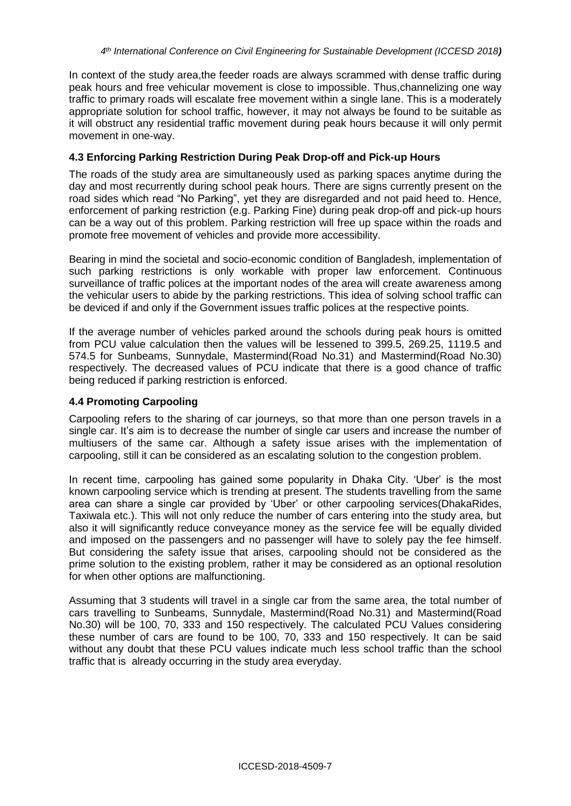In context of the study area,the feeder roads are always scrammed with dense traffic during peak hours and free vehicular movement is close to impossible. Thus,channelizing one way traffic to primary roads will escalate free movement within a single lane. This is a moderately appropriate solution for school traffic, however, it may not always be found to be suitable as it will obstruct any residential traffic movement during peak hours because it will only permit movement in one-way.

### **4.3 Enforcing Parking Restriction During Peak Drop-off and Pick-up Hours**

The roads of the study area are simultaneously used as parking spaces anytime during the day and most recurrently during school peak hours. There are signs currently present on the road sides which read "No Parking", yet they are disregarded and not paid heed to. Hence, enforcement of parking restriction (e.g. Parking Fine) during peak drop-off and pick-up hours can be a way out of this problem. Parking restriction will free up space within the roads and promote free movement of vehicles and provide more accessibility.

Bearing in mind the societal and socio-economic condition of Bangladesh, implementation of such parking restrictions is only workable with proper law enforcement. Continuous surveillance of traffic polices at the important nodes of the area will create awareness among the vehicular users to abide by the parking restrictions. This idea of solving school traffic can be deviced if and only if the Government issues traffic polices at the respective points.

If the average number of vehicles parked around the schools during peak hours is omitted from PCU value calculation then the values will be lessened to 399.5, 269.25, 1119.5 and 574.5 for Sunbeams, Sunnydale, Mastermind(Road No.31) and Mastermind(Road No.30) respectively. The decreased values of PCU indicate that there is a good chance of traffic being reduced if parking restriction is enforced.

### **4.4 Promoting Carpooling**

Carpooling refers to the sharing of car journeys, so that more than one person travels in a single car. It's aim is to decrease the number of single car users and increase the number of multiusers of the same car. Although a safety issue arises with the implementation of carpooling, still it can be considered as an escalating solution to the congestion problem.

In recent time, carpooling has gained some popularity in Dhaka City. 'Uber' is the most known carpooling service which is trending at present. The students travelling from the same area can share a single car provided by 'Uber' or other carpooling services(DhakaRides, Taxiwala etc.). This will not only reduce the number of cars entering into the study area, but also it will significantly reduce conveyance money as the service fee will be equally divided and imposed on the passengers and no passenger will have to solely pay the fee himself. But considering the safety issue that arises, carpooling should not be considered as the prime solution to the existing problem, rather it may be considered as an optional resolution for when other options are malfunctioning.

Assuming that 3 students will travel in a single car from the same area, the total number of cars travelling to Sunbeams, Sunnydale, Mastermind(Road No.31) and Mastermind(Road No.30) will be 100, 70, 333 and 150 respectively. The calculated PCU Values considering these number of cars are found to be 100, 70, 333 and 150 respectively. It can be said without any doubt that these PCU values indicate much less school traffic than the school traffic that is already occurring in the study area everyday.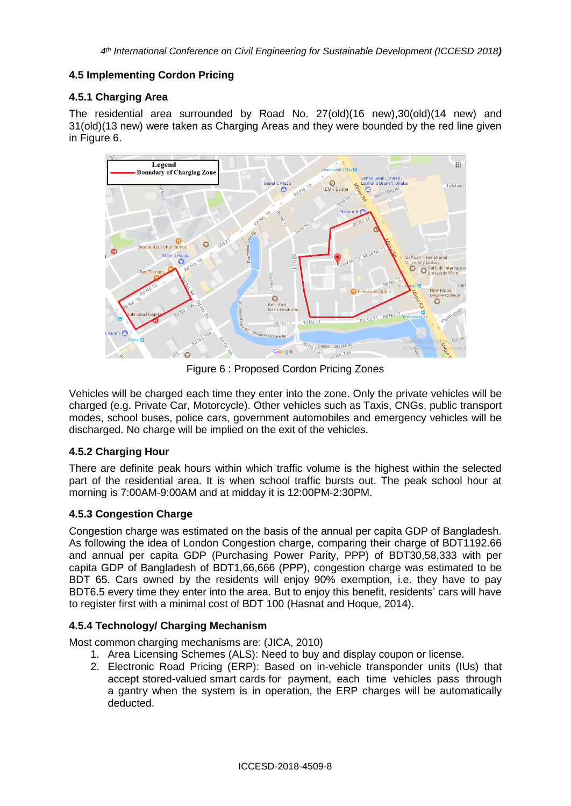### **4.5 Implementing Cordon Pricing**

### **4.5.1 Charging Area**

The residential area surrounded by Road No. 27(old)(16 new),30(old)(14 new) and 31(old)(13 new) were taken as Charging Areas and they were bounded by the red line given in Figure 6.



Figure 6 : Proposed Cordon Pricing Zones

Vehicles will be charged each time they enter into the zone. Only the private vehicles will be charged (e.g. Private Car, Motorcycle). Other vehicles such as Taxis, CNGs, public transport modes, school buses, police cars, government automobiles and emergency vehicles will be discharged. No charge will be implied on the exit of the vehicles.

# **4.5.2 Charging Hour**

There are definite peak hours within which traffic volume is the highest within the selected part of the residential area. It is when school traffic bursts out. The peak school hour at morning is 7:00AM-9:00AM and at midday it is 12:00PM-2:30PM.

### **4.5.3 Congestion Charge**

Congestion charge was estimated on the basis of the annual per capita GDP of Bangladesh. As following the idea of London Congestion charge, comparing their charge of BDT1192.66 and annual per capita GDP (Purchasing Power Parity, PPP) of BDT30,58,333 with per capita GDP of Bangladesh of BDT1,66,666 (PPP), congestion charge was estimated to be BDT 65. Cars owned by the residents will enjoy 90% exemption, i.e. they have to pay BDT6.5 every time they enter into the area. But to enjoy this benefit, residents' cars will have to register first with a minimal cost of BDT 100 (Hasnat and Hoque, 2014).

### **4.5.4 Technology/ Charging Mechanism**

Most common charging mechanisms are: (JICA, 2010)

- 1. Area Licensing Schemes (ALS): Need to buy and display coupon or license.
- 2. Electronic Road Pricing (ERP): Based on in-vehicle transponder units (IUs) that accept stored-valued smart cards for payment, each time vehicles pass through a gantry when the system is in operation, the ERP charges will be automatically deducted.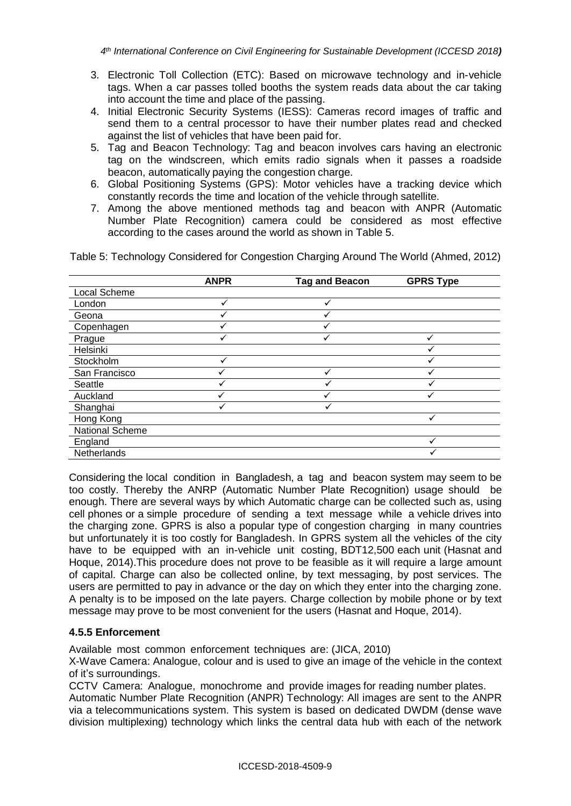- 3. Electronic Toll Collection (ETC): Based on microwave technology and in-vehicle tags. When a car passes tolled booths the system reads data about the car taking into account the time and place of the passing.
- 4. Initial Electronic Security Systems (IESS): Cameras record images of traffic and send them to a central processor to have their number plates read and checked against the list of vehicles that have been paid for.
- 5. Tag and Beacon Technology: Tag and beacon involves cars having an electronic tag on the windscreen, which emits radio signals when it passes a roadside beacon, automatically paying the congestion charge.
- 6. Global Positioning Systems (GPS): Motor vehicles have a tracking device which constantly records the time and location of the vehicle through satellite.
- 7. Among the above mentioned methods tag and beacon with ANPR (Automatic Number Plate Recognition) camera could be considered as most effective according to the cases around the world as shown in Table 5.

Table 5: Technology Considered for Congestion Charging Around The World (Ahmed, 2012)

|                 | <b>ANPR</b>  | <b>Tag and Beacon</b> | <b>GPRS Type</b> |
|-----------------|--------------|-----------------------|------------------|
| Local Scheme    |              |                       |                  |
| London          | $\checkmark$ | ✓                     |                  |
| Geona           |              | ✓                     |                  |
| Copenhagen      |              |                       |                  |
| Prague          |              | ✓                     | ✓                |
| Helsinki        |              |                       |                  |
| Stockholm       | $\checkmark$ |                       |                  |
| San Francisco   |              |                       |                  |
| Seattle         |              |                       |                  |
| Auckland        |              |                       |                  |
| Shanghai        |              |                       |                  |
| Hong Kong       |              |                       |                  |
| National Scheme |              |                       |                  |
| England         |              |                       |                  |
| Netherlands     |              |                       |                  |

Considering the local condition in Bangladesh, a tag and beacon system may seem to be too costly. Thereby the ANRP (Automatic Number Plate Recognition) usage should be enough. There are several ways by which Automatic charge can be collected such as, using cell phones or a simple procedure of sending a text message while a vehicle drives into the charging zone. GPRS is also a popular type of congestion charging in many countries but unfortunately it is too costly for Bangladesh. In GPRS system all the vehicles of the city have to be equipped with an in-vehicle unit costing, BDT12,500 each unit (Hasnat and Hoque, 2014).This procedure does not prove to be feasible as it will require a large amount of capital. Charge can also be collected online, by text messaging, by post services. The users are permitted to pay in advance or the day on which they enter into the charging zone. A penalty is to be imposed on the late payers. Charge collection by mobile phone or by text message may prove to be most convenient for the users (Hasnat and Hoque, 2014).

### **4.5.5 Enforcement**

Available most common enforcement techniques are: (JICA, 2010)

X-Wave Camera: Analogue, colour and is used to give an image of the vehicle in the context of it's surroundings.

CCTV Camera: Analogue, monochrome and provide images for reading number plates. Automatic Number Plate Recognition (ANPR) Technology: All images are sent to the ANPR via a telecommunications system. This system is based on dedicated DWDM (dense wave division multiplexing) technology which links the central data hub with each of the network